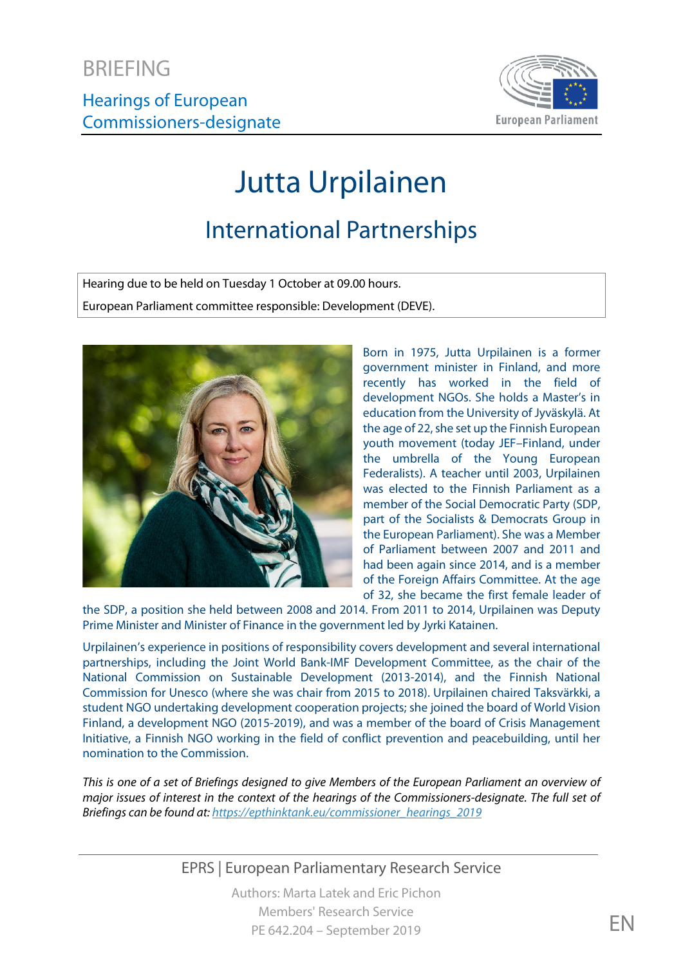

# Jutta Urpilainen

# International Partnerships

Hearing due to be held on Tuesday 1 October at 09.00 hours. European Parliament committee responsible: Development (DEVE).



Born in 1975, Jutta Urpilainen is a former government minister in Finland, and more recently has worked in the field of development NGOs. She holds a Master's in education from the University of Jyväskylä. At the age of 22, she set up the Finnish European youth movement (today JEF–Finland, under the umbrella of the Young European Federalists). A teacher until 2003, Urpilainen was elected to the Finnish Parliament as a member of the Social Democratic Party (SDP, part of the Socialists & Democrats Group in the European Parliament). She was a Member of Parliament between 2007 and 2011 and had been again since 2014, and is a member of the Foreign Affairs Committee. At the age of 32, she became the first female leader of

the SDP, a position she held between 2008 and 2014. From 2011 to 2014, Urpilainen was Deputy Prime Minister and Minister of Finance in the government led by Jyrki Katainen.

Urpilainen's experience in positions of responsibility covers development and several international partnerships, including the Joint World Bank-IMF Development Committee, as the chair of the National Commission on Sustainable Development (2013-2014), and the Finnish National Commission for Unesco (where she was chair from 2015 to 2018). Urpilainen chaired Taksvärkki, a student NGO undertaking development cooperation projects; she joined the board of World Vision Finland, a development NGO (2015-2019), and was a member of the board of Crisis Management Initiative, a Finnish NGO working in the field of conflict prevention and peacebuilding, until her nomination to the Commission.

*This is one of a set of Briefings designed to give Members of the European Parliament an overview of major issues of interest in the context of the hearings of the Commissioners-designate. The full set of Briefings can be found at[: https://epthinktank.eu/commissioner\\_hearings\\_2019](https://epthinktank.eu/commissioner_hearings_2019)*

EPRS | European Parliamentary Research Service

Authors: Marta Latek and Eric Pichon Members' Research Service PE 642.204 – September 2019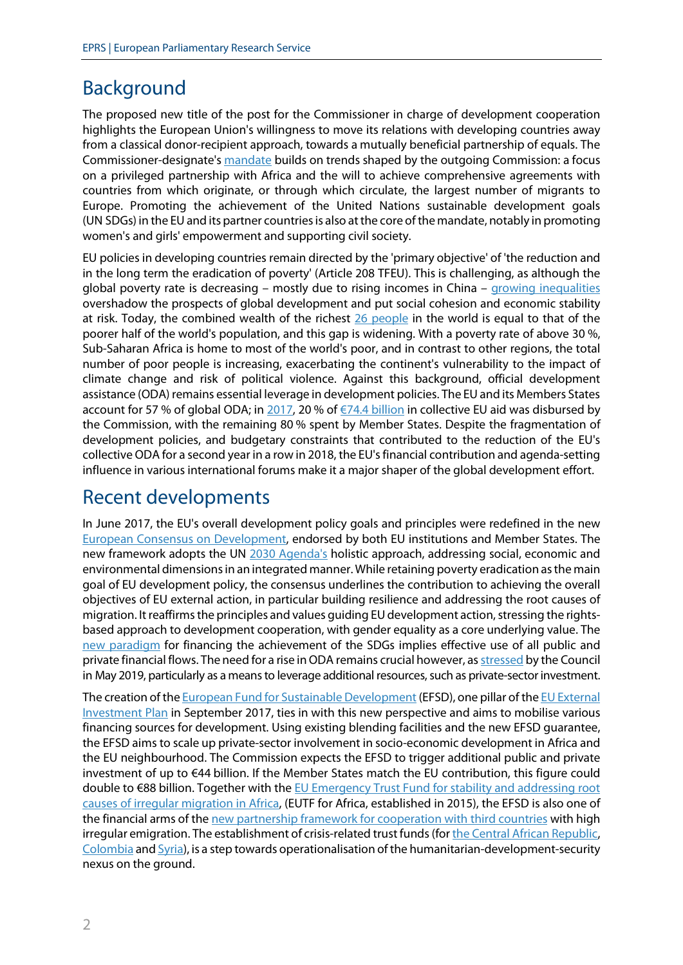## Background

The proposed new title of the post for the Commissioner in charge of development cooperation highlights the European Union's willingness to move its relations with developing countries away from a classical donor-recipient approach, towards a mutually beneficial partnership of equals. The Commissioner-designate's [mandate](https://ec.europa.eu/commission/files/jutta-urpilainens-mission-letter_en) builds on trends shaped by the outgoing Commission: a focus on a privileged partnership with Africa and the will to achieve comprehensive agreements with countries from which originate, or through which circulate, the largest number of migrants to Europe. Promoting the achievement of the United Nations sustainable development goals (UN SDGs) in the EU and its partner countries is also at the core of the mandate, notably in promoting women's and girls' empowerment and supporting civil society.

EU policies in developing countries remain directed by the 'primary objective' of 'the reduction and in the long term the eradication of poverty' (Article 208 TFEU). This is challenging, as although the global poverty rate is decreasing – mostly due to rising incomes in China – [growing inequalities](https://openknowledge.worldbank.org/bitstream/handle/10986/30418/211330ov.pdf) overshadow the prospects of global development and put social cohesion and economic stability at risk. Today, the combined wealth of the richest [26 people](https://www.oxfamamerica.org/explore/research-publications/public-good-or-private-wealth/) in the world is equal to that of the poorer half of the world's population, and this gap is widening. With a poverty rate of above 30 %, Sub-Saharan Africa is home to most of the world's poor, and in contrast to other regions, the total number of poor people is increasing, exacerbating the continent's vulnerability to the impact of climate change and risk of political violence. Against this background, official development assistance (ODA) remains essential leverage in development policies. The EU and its Members States account for 57 % of global ODA; i[n 2017,](https://www.google.be/url?sa=t&rct=j&q=&esrc=s&source=web&cd=1&cad=rja&uact=8&ved=2ahUKEwjJntDEibHiAhXC-qQKHVfXBeAQFjAAegQIAxAB&url=https%3A%2F%2Fwww.oecd-ilibrary.org%2Fdevelopment%2Fgeographical-distribution-of-financial-flows-to-developing-countries_20743149&usg=AOvVaw0uF8nt40izxM1NOynSchu8) 20 % of €74.4 [billion](http://data.consilium.europa.eu/doc/document/ST-9201-2019-INIT/en/pdf) in collective EU aid was disbursed by the Commission, with the remaining 80 % spent by Member States. Despite the fragmentation of development policies, and budgetary constraints that contributed to the reduction of the EU's collective ODA for a second year in a row in 2018, the EU's financial contribution and agenda-setting influence in various international forums make it a major shaper of the global development effort.

## Recent developments

In June 2017, the EU's overall development policy goals and principles were redefined in the new [European Consensus on Development,](https://ec.europa.eu/europeaid/new-european-consensus-development-our-world-our-dignity-our-future_en) endorsed by both EU institutions and Member States. The new framework adopts the UN [2030 Agenda's](https://sustainabledevelopment.un.org/post2015/transformingourworld) holistic approach, addressing social, economic and environmental dimensions in an integrated manner. While retaining poverty eradication as the main goal of EU development policy, the consensus underlines the contribution to achieving the overall objectives of EU external action, in particular building resilience and addressing the root causes of migration. It reaffirms the principles and values guiding EU development action, stressing the rightsbased approach to development cooperation, with gender equality as a core underlying value. The [new paradigm](https://www.un.org/esa/ffd/wp-content/uploads/2015/08/AAAA_Outcome.pdf) for financing the achievement of the SDGs implies effective use of all public and private financial flows. The need for a rise inODA remains crucial however, a[s stressed](http://data.consilium.europa.eu/doc/document/ST-9201-2019-INIT/en/pdf) by the Council in May 2019, particularly as a means to leverage additional resources, such as private-sector investment.

The creation of th[e European Fund for Sustainable Development](https://ec.europa.eu/commission/news/european-parliament-think-tank-briefing-efsd-2019-apr-03_en) (EFSD), one pillar of th[e EU External](https://ec.europa.eu/commission/eu-external-investment-plan_en)  [Investment Plan](https://ec.europa.eu/commission/eu-external-investment-plan_en) in September 2017, ties in with this new perspective and aims to mobilise various financing sources for development. Using existing blending facilities and the new EFSD guarantee, the EFSD aims to scale up private-sector involvement in socio-economic development in Africa and the EU neighbourhood. The Commission expects the EFSD to trigger additional public and private investment of up to €44 billion. If the Member States match the EU contribution, this figure could double to €88 billion. Together with the [EU Emergency Trust Fund for stability and addressing root](https://ec.europa.eu/trustfundforafrica/content/homepage_en)  [causes of irregular migration in Africa,](https://ec.europa.eu/trustfundforafrica/content/homepage_en) (EUTF for Africa, established in 2015), the EFSD is also one of the financial arms of th[e new partnership framework for cooperation with third countries](http://www.europarl.europa.eu/legislative-train/theme-towards-a-new-policy-on-migration/file-new-migration-partnership-framework-external-component-of-migration-policy) with high irregular emigration. The establishment of crisis-related trust funds (fo[r the Central African Republic,](https://ec.europa.eu/europeaid/countries/central-african-republic/eu-bekou-trust-fund_en) [Colombia](https://ec.europa.eu/europeaid/eu-trust-fund-colombia_en) an[d Syria\)](https://ec.europa.eu/trustfund-syria-region/content/home_en), is a step towards operationalisation of the humanitarian-development-security nexus on the ground.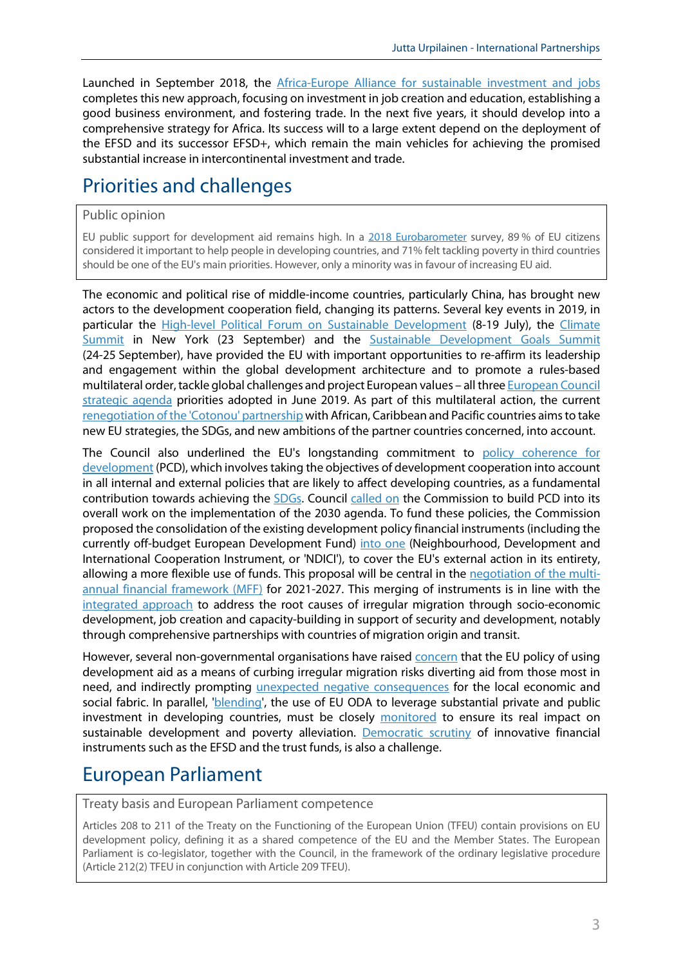Launched in September 2018, the [Africa-Europe Alliance for sustainable investment](http://www.europarl.europa.eu/legislative-train/theme-europe-as-a-stronger-global-actor/file-new-africa-eu-alliance/) and jobs completes this new approach, focusing on investment in job creation and education, establishing a good business environment, and fostering trade. In the next five years, it should develop into a comprehensive strategy for Africa. Its success will to a large extent depend on the deployment of the EFSD and its successor EFSD+, which remain the main vehicles for achieving the promised substantial increase in intercontinental investment and trade.

# Priorities and challenges

#### Public opinion

EU public support for development aid remains high. In a [2018 Eurobarometer](https://ec.europa.eu/europeaid/sites/devco/files/ebs-476-summary-20180925_en.pdf) survey, 89 % of EU citizens considered it important to help people in developing countries, and 71% felt tackling poverty in third countries should be one of the EU's main priorities. However, only a minority was in favour of increasing EU aid.

The economic and political rise of middle-income countries, particularly China, has brought new actors to the development cooperation field, changing its patterns. Several key events in 2019, in particular the [High-level Political Forum on Sustainable Development](https://sustainabledevelopment.un.org/hlpf/2019) (8-19 July), the [Climate](https://www.un.org/en/climatechange/)  [Summit](https://www.un.org/en/climatechange/) in New York (23 September) and the [Sustainable Development Goals Summit](https://sustainabledevelopment.un.org/sdgsummit) (24-25 September), have provided the EU with important opportunities to re-affirm its leadership and engagement within the global development architecture and to promote a rules-based multilateral order, tackle global challenges and project European values – all thre[e European Council](https://www.consilium.europa.eu/media/39914/a-new-strategic-agenda-2019-2024.pdf)  [strategic agenda](https://www.consilium.europa.eu/media/39914/a-new-strategic-agenda-2019-2024.pdf) priorities adopted in June 2019. As part of this multilateral action, the current [renegotiation of the 'Cotonou'](https://www.europarl.europa.eu/legislative-train/theme-europe-as-a-stronger-global-actor/file-towards-post-cotonou) partnership with African, Caribbean and Pacific countries aims to take new EU strategies, the SDGs, and new ambitions of the partner countries concerned, into account.

The Council also underlined the EU's longstanding commitment to [policy coherence for](https://www.consilium.europa.eu/media/39380/pcd-conclusions.pdf)  [development](https://www.consilium.europa.eu/media/39380/pcd-conclusions.pdf) (PCD), which involves taking the objectives of development cooperation into account in all internal and external policies that are likely to affect developing countries, as a fundamental contribution towards achieving the [SDGs.](https://ec.europa.eu/europeaid/policies/sustainable-development-goals_en) Council [called on](https://www.consilium.europa.eu/media/39380/pcd-conclusions.pdf) the Commission to build PCD into its overall work on the implementation of the 2030 agenda. To fund these policies, the Commission proposed the consolidation of the existing development policy financial instruments (including the currently off-budget European Development Fund) [into one](https://www.europarl.europa.eu/legislative-train/theme-new-boost-for-jobs-growth-and-investment/file-mff-ndici) (Neighbourhood, Development and International Cooperation Instrument, or 'NDICI'), to cover the EU's external action in its entirety, allowing a more flexible use of funds. This proposal will be central in the [negotiation of the multi](https://www.consilium.europa.eu/en/policies/eu-budgetary-system/multiannual-financial-framework/mff-negotiations/)[annual financial framework \(MFF\)](https://www.consilium.europa.eu/en/policies/eu-budgetary-system/multiannual-financial-framework/mff-negotiations/) for 2021-2027. This merging of instruments is in line with the [integrated approach](https://ec.europa.eu/europeaid/sites/devco/files/2018-01-cnl_conclusions_on_ia.pdf) to address the root causes of irregular migration through socio-economic development, job creation and capacity-building in support of security and development, notably through comprehensive partnerships with countries of migration origin and transit.

However, several non-governmental organisations have raised [concern](https://concordeurope.org/blog/2019/04/23/the-road-to-a-budget4solidarity-half-way-there/) that the EU policy of using development aid as a means of curbing irregular migration risks diverting aid from those most in need, and indirectly prompting [unexpected negative consequences](http://www.europarl.europa.eu/thinktank/en/document.html?reference=EPRS_BRI(2019)640137) for the local economic and social fabric. In parallel, ['blending'](https://www.odi.org/sites/odi.org.uk/files/resource-documents/12666.pdf), the use of EU ODA to leverage substantial private and public investment in developing countries, must be closely [monitored](https://www.eca.europa.eu/Lists/ECADocuments/SR14_16/SR14_16_EN.pdf) to ensure its real impact on sustainable development and poverty alleviation. [Democratic scrutiny](http://www.europarl.europa.eu/thinktank/en/document.html?reference=IPOL_STU(2018)603821) of innovative financial instruments such as the EFSD and the trust funds, is also a challenge.

## European Parliament

Treaty basis and European Parliament competence

Articles 208 to 211 of the Treaty on the Functioning of the European Union (TFEU) contain provisions on EU development policy, defining it as a shared competence of the EU and the Member States. The European Parliament is co-legislator, together with the Council, in the framework of the ordinary legislative procedure (Article 212(2) TFEU in conjunction with Article 209 TFEU).